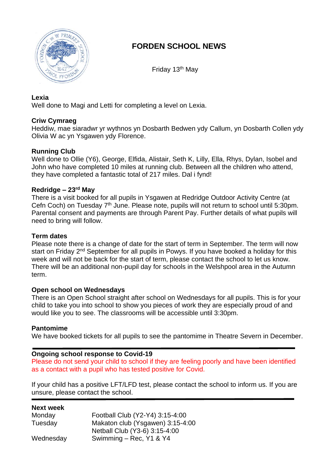

# **FORDEN SCHOOL NEWS**

Friday 13th May

# **Lexia**

Well done to Magi and Letti for completing a level on Lexia.

# **Criw Cymraeg**

Heddiw, mae siaradwr yr wythnos yn Dosbarth Bedwen ydy Callum, yn Dosbarth Collen ydy Olivia W ac yn Ysgawen ydy Florence.

# **Running Club**

Well done to Ollie (Y6), George, Elfida, Alistair, Seth K, Lilly, Ella, Rhys, Dylan, Isobel and John who have completed 10 miles at running club. Between all the children who attend, they have completed a fantastic total of 217 miles. Dal i fynd!

## **Redridge – 23rd May**

There is a visit booked for all pupils in Ysgawen at Redridge Outdoor Activity Centre (at Cefn Coch) on Tuesday 7<sup>th</sup> June. Please note, pupils will not return to school until 5:30pm. Parental consent and payments are through Parent Pay. Further details of what pupils will need to bring will follow.

## **Term dates**

Please note there is a change of date for the start of term in September. The term will now start on Friday 2<sup>nd</sup> September for all pupils in Powys. If you have booked a holiday for this week and will not be back for the start of term, please contact the school to let us know. There will be an additional non-pupil day for schools in the Welshpool area in the Autumn term.

# **Open school on Wednesdays**

There is an Open School straight after school on Wednesdays for all pupils. This is for your child to take you into school to show you pieces of work they are especially proud of and would like you to see. The classrooms will be accessible until 3:30pm.

### **Pantomime**

We have booked tickets for all pupils to see the pantomime in Theatre Severn in December.

### **Ongoing school response to Covid-19**

Please do not send your child to school if they are feeling poorly and have been identified as a contact with a pupil who has tested positive for Covid.

If your child has a positive LFT/LFD test, please contact the school to inform us. If you are unsure, please contact the school.

### **Next week**

| Monday    | Football Club (Y2-Y4) 3:15-4:00  |
|-----------|----------------------------------|
| Tuesday   | Makaton club (Ysgawen) 3:15-4:00 |
|           | Netball Club (Y3-6) 3:15-4:00    |
| Wednesday | Swimming - Rec, Y1 & Y4          |